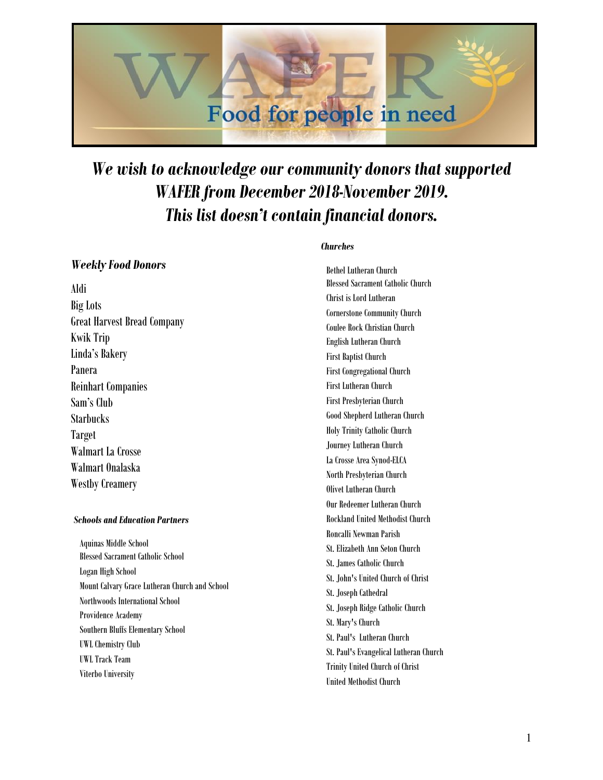

# *We wish to acknowledge our community donors that supported WAFER from December 2018-November 2019. This list doesn't contain financial donors.*

# *Weekly Food Donors*

Aldi Big Lots Great Harvest Bread Company Kwik Trip Linda's Bakery Panera Reinhart Companies Sam's Club **Starbucks** Target Walmart La Crosse Walmart Onalaska Westby Creamery

## *Schools and Education Partners*

Aquinas Middle School Blessed Sacrament Catholic School Logan High School Mount Calvary Grace Lutheran Church and School Northwoods International School Providence Academy Southern Bluffs Elementary School UWL Chemistry Club UWL Track Team Viterbo University

### *Churches*

Bethel Lutheran Church Blessed Sacrament Catholic Church Christ is Lord Lutheran Cornerstone Community Church Coulee Rock Christian Church English Lutheran Church First Baptist Church First Congregational Church First Lutheran Church First Presbyterian Church Good Shepherd Lutheran Church Holy Trinity Catholic Church Journey Lutheran Church La Crosse Area Synod-ELCA North Presbyterian Church Olivet Lutheran Church Our Redeemer Lutheran Church Rockland United Methodist Church Roncalli Newman Parish St. Elizabeth Ann Seton Church St. James Catholic Church St. John's United Church of Christ St. Joseph Cathedral St. Joseph Ridge Catholic Church St. Mary's Church St. Paul's Lutheran Church St. Paul's Evangelical Lutheran Church Trinity United Church of Christ United Methodist Church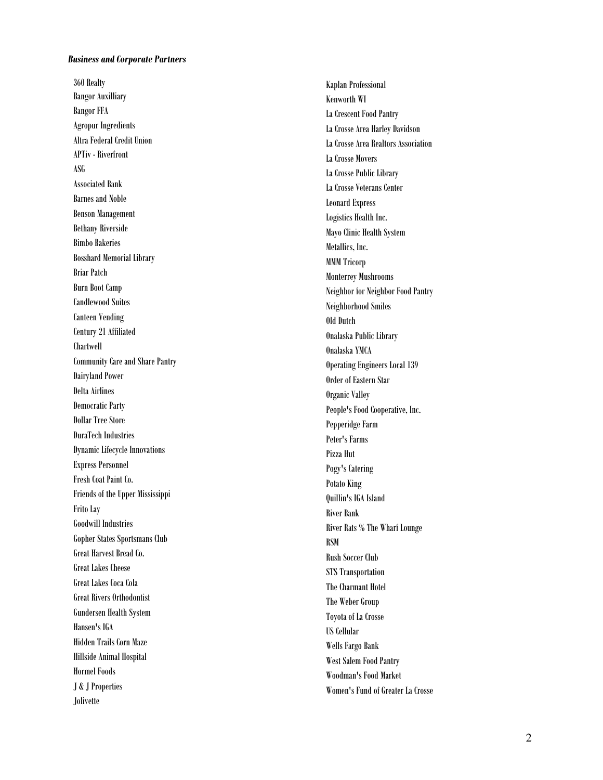#### *Business and Corporate Partners*

360 Realty Bangor Auxilliary Bangor FFA Agropur Ingredients Altra Federal Credit Union APTiv - Riverfront ASG Associated Bank Barnes and Noble Benson Management Bethany Riverside Bimbo Bakeries Bosshard Memorial Library Briar Patch Burn Boot Camp Candlewood Suites Canteen Vending Century 21 Affiliated Chartwell Community Care and Share Pantry Dairyland Power Delta Airlines Democratic Party Dollar Tree Store DuraTech Industries Dynamic Lifecycle Innovations Express Personnel Fresh Coat Paint Co. Friends of the Upper Mississippi Frito Lay Goodwill Industries Gopher States Sportsmans Club Great Harvest Bread Co. Great Lakes Cheese Great Lakes Coca Cola Great Rivers Orthodontist Gundersen Health System Hansen's IGA Hidden Trails Corn Maze Hillside Animal Hospital Hormel Foods J & J Properties Jolivette

Kaplan Professional Kenworth WI La Crescent Food Pantry La Crosse Area Harley Davidson La Crosse Area Realtors Association La Crosse Movers La Crosse Public Library La Crosse Veterans Center Leonard Express Logistics Health Inc. Mayo Clinic Health System Metallics, Inc. MMM Tricorp Monterrey Mushrooms Neighbor for Neighbor Food Pantry Neighborhood Smiles Old Dutch Onalaska Public Library Onalaska YMCA Operating Engineers Local 139 Order of Eastern Star Organic Valley People's Food Cooperative, Inc. Pepperidge Farm Peter's Farms Pizza Hut Pogy's Catering Potato King Quillin's IGA Island River Bank River Rats % The Wharf Lounge RSM Rush Soccer Club STS Transportation The Charmant Hotel The Weber Group Toyota of La Crosse US Cellular Wells Fargo Bank West Salem Food Pantry Woodman's Food Market Women's Fund of Greater La Crosse